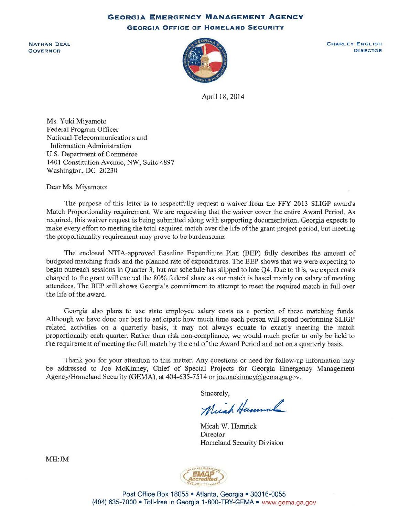**GEORGIA EMERGENCY MANAGEMENT AGENCY GEORGIA OFFICE OF HOMELAND SECURITY** 

NATHAN DEAL **GOVERNOR** 



CHARLEY ENGLISH DIRECTOR

April 18, 2014

Ms. Yuki Miyamoto Federal Program Officer National Telecommunications and Information Administration U.S. Department of Commerce 1401 Constitution Avenue, NW, Suite 4897 Washington, DC 20230

Dear Ms. Miyamoto:

The purpose of this letter is to respectfully request a waiver from the FFY 2013 SLIGP award's Match Proportionality requirement. We are requesting that the waiver cover the entire Award Period. As required, this waiver request is being submitted along with supporting documentation. Georgia expects to make every effort to meeting the total required match over the life of the grant project period, but meeting the proportionality requirement may prove to be burdensome.

The enclosed NTIA-approved Baseline Expenditure Plan (BEP) fully describes the amount of budgeted matching funds and the planned rate of expenditures. The BEP shows that we were expecting to begin outreach sessions in Quarter 3, but our schedule has slipped to late Q4. Due to this, we expect costs charged to the grant will exceed the 80% federal share as our match is based mainly on salary of meeting attendees. The BEP still shows Georgia's commitment to attempt to meet the required match in full over the life of the award.

Georgia also plans to use state employee salary costs as a portion of these matching funds. Although we have done our best to anticipate how much time each person will spend performing SLIGP related activities on a quarterly basis, it may not always equate to exactly meeting the match proportionally each quarter. Rather than risk non-compliance, we would much prefer to only be held to the requirement of meeting the full match by the end of the Award Period and not on a quarterly basis.

Thank you for your attention to this matter. Any questions or need for follow-up information may be addressed to Joe McKinney, Chief of Special Projects for Georgia Emergency Management Agency/Homeland Security (GEMA), at 404-635-7514 or joe.mckinney@gema.ga.gov.

Sincerely,

Meiah Hamml

Micah W. Hamrick Director Homeland Security Division

EMAP ccredited

MH:JM